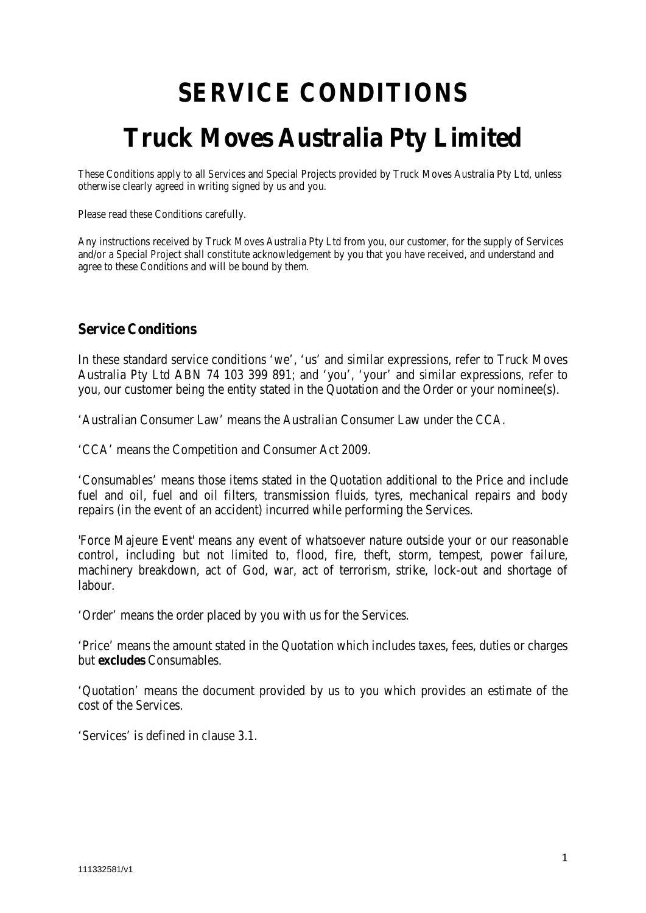# **SERVICE CONDITIONS Truck Moves Australia Pty Limited**

These Conditions apply to all Services and Special Projects provided by Truck Moves Australia Pty Ltd, unless otherwise clearly agreed in writing signed by us and you.

Please read these Conditions carefully.

Any instructions received by Truck Moves Australia Pty Ltd from you, our customer, for the supply of Services and/or a Special Project shall constitute acknowledgement by you that you have received, and understand and agree to these Conditions and will be bound by them.

## **Service Conditions**

In these standard service conditions 'we', 'us' and similar expressions, refer to Truck Moves Australia Pty Ltd ABN 74 103 399 891; and 'you', 'your' and similar expressions, refer to you, our customer being the entity stated in the Quotation and the Order or your nominee(s).

'Australian Consumer Law' means the Australian Consumer Law under the CCA.

'CCA' means the Competition and Consumer Act 2009.

'Consumables' means those items stated in the Quotation additional to the Price and include fuel and oil, fuel and oil filters, transmission fluids, tyres, mechanical repairs and body repairs (in the event of an accident) incurred while performing the Services.

'Force Majeure Event' means any event of whatsoever nature outside your or our reasonable control, including but not limited to, flood, fire, theft, storm, tempest, power failure, machinery breakdown, act of God, war, act of terrorism, strike, lock-out and shortage of labour.

'Order' means the order placed by you with us for the Services.

'Price' means the amount stated in the Quotation which includes taxes, fees, duties or charges but **excludes** Consumables.

'Quotation' means the document provided by us to you which provides an estimate of the cost of the Services.

'Services' is defined in clause 3.1.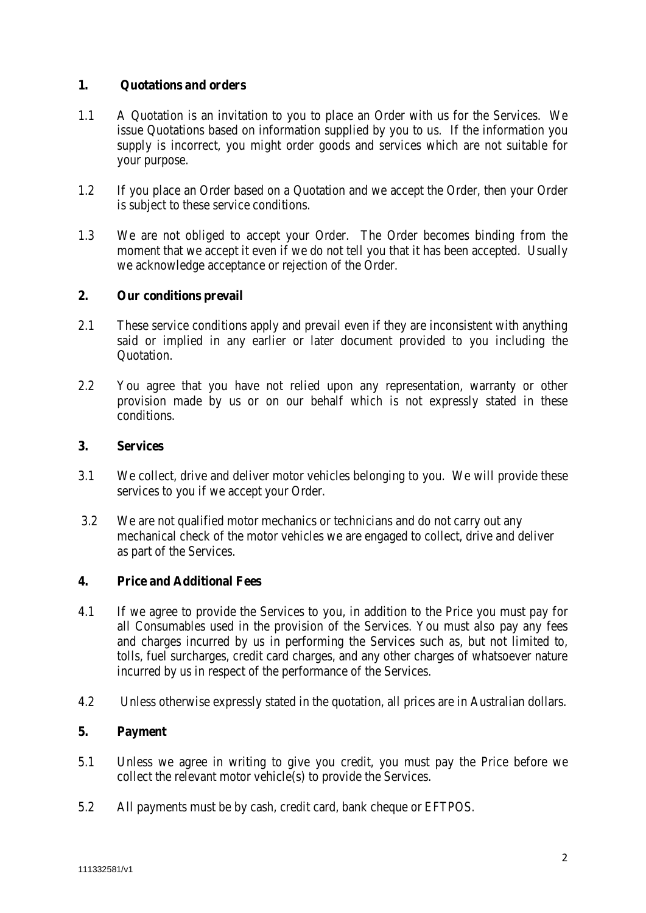#### **1. Quotations and orders**

- 1.1 A Quotation is an invitation to you to place an Order with us for the Services. We issue Quotations based on information supplied by you to us. If the information you supply is incorrect, you might order goods and services which are not suitable for your purpose.
- 1.2 If you place an Order based on a Quotation and we accept the Order, then your Order is subject to these service conditions.
- 1.3 We are not obliged to accept your Order. The Order becomes binding from the moment that we accept it even if we do not tell you that it has been accepted. Usually we acknowledge acceptance or rejection of the Order.

#### **2. Our conditions prevail**

- 2.1 These service conditions apply and prevail even if they are inconsistent with anything said or implied in any earlier or later document provided to you including the Quotation.
- 2.2 You agree that you have not relied upon any representation, warranty or other provision made by us or on our behalf which is not expressly stated in these conditions.

#### **3. Services**

- 3.1 We collect, drive and deliver motor vehicles belonging to you. We will provide these services to you if we accept your Order.
- 3.2 We are not qualified motor mechanics or technicians and do not carry out any mechanical check of the motor vehicles we are engaged to collect, drive and deliver as part of the Services.

#### **4. Price and Additional Fees**

- 4.1 If we agree to provide the Services to you, in addition to the Price you must pay for all Consumables used in the provision of the Services. You must also pay any fees and charges incurred by us in performing the Services such as, but not limited to, tolls, fuel surcharges, credit card charges, and any other charges of whatsoever nature incurred by us in respect of the performance of the Services.
- 4.2 Unless otherwise expressly stated in the quotation, all prices are in Australian dollars.

## **5. Payment**

- 5.1 Unless we agree in writing to give you credit, you must pay the Price before we collect the relevant motor vehicle(s) to provide the Services.
- 5.2 All payments must be by cash, credit card, bank cheque or EFTPOS.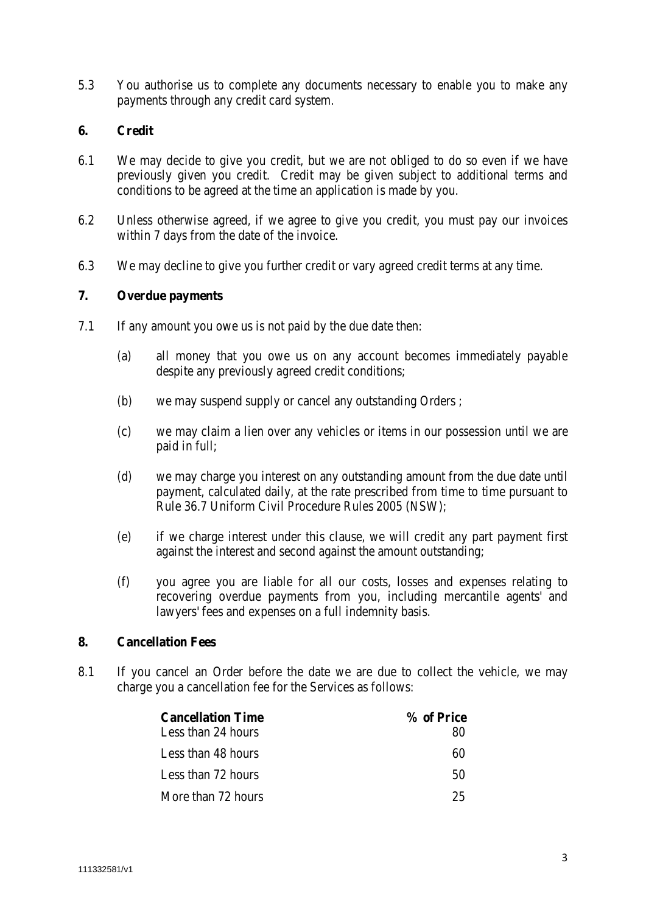5.3 You authorise us to complete any documents necessary to enable you to make any payments through any credit card system.

#### **6. Credit**

- 6.1 We may decide to give you credit, but we are not obliged to do so even if we have previously given you credit. Credit may be given subject to additional terms and conditions to be agreed at the time an application is made by you.
- 6.2 Unless otherwise agreed, if we agree to give you credit, you must pay our invoices within 7 days from the date of the invoice.
- 6.3 We may decline to give you further credit or vary agreed credit terms at any time.

#### **7. Overdue payments**

- 7.1 If any amount you owe us is not paid by the due date then:
	- (a) all money that you owe us on any account becomes immediately payable despite any previously agreed credit conditions;
	- (b) we may suspend supply or cancel any outstanding Orders ;
	- (c) we may claim a lien over any vehicles or items in our possession until we are paid in full;
	- (d) we may charge you interest on any outstanding amount from the due date until payment, calculated daily, at the rate prescribed from time to time pursuant to Rule 36.7 Uniform Civil Procedure Rules 2005 (NSW);
	- (e) if we charge interest under this clause, we will credit any part payment first against the interest and second against the amount outstanding;
	- (f) you agree you are liable for all our costs, losses and expenses relating to recovering overdue payments from you, including mercantile agents' and lawyers' fees and expenses on a full indemnity basis.

#### **8. Cancellation Fees**

8.1 If you cancel an Order before the date we are due to collect the vehicle, we may charge you a cancellation fee for the Services as follows:

| <b>Cancellation Time</b> | % of Price |
|--------------------------|------------|
| Less than 24 hours       | 80         |
| Less than 48 hours       | 60         |
| Less than 72 hours       | 50         |
| More than 72 hours       | 25         |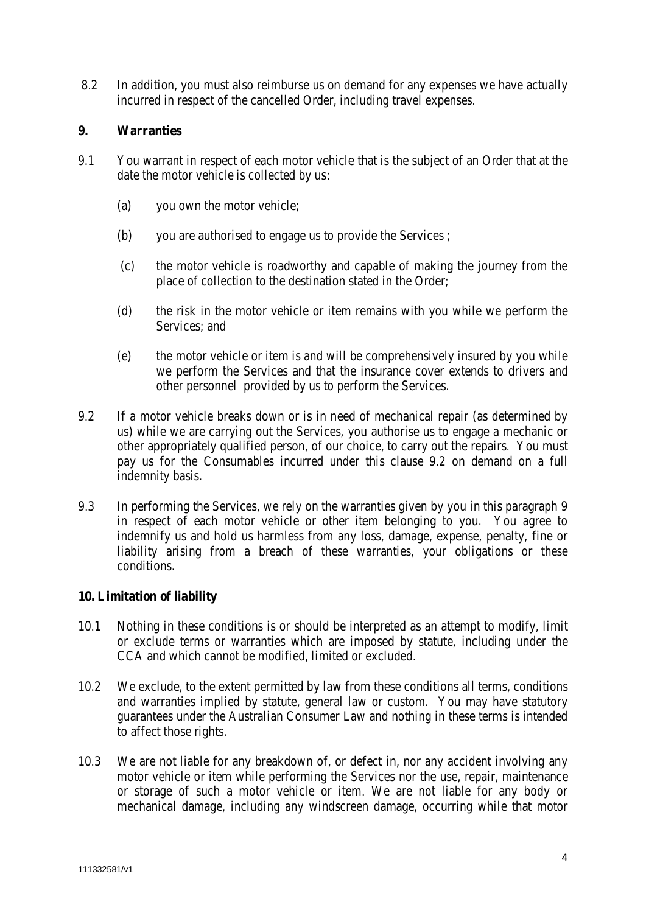8.2 In addition, you must also reimburse us on demand for any expenses we have actually incurred in respect of the cancelled Order, including travel expenses.

### **9. Warranties**

- 9.1 You warrant in respect of each motor vehicle that is the subject of an Order that at the date the motor vehicle is collected by us:
	- (a) you own the motor vehicle;
	- (b) you are authorised to engage us to provide the Services ;
	- (c) the motor vehicle is roadworthy and capable of making the journey from the place of collection to the destination stated in the Order;
	- (d) the risk in the motor vehicle or item remains with you while we perform the Services; and
	- (e) the motor vehicle or item is and will be comprehensively insured by you while we perform the Services and that the insurance cover extends to drivers and other personnel provided by us to perform the Services.
- 9.2 If a motor vehicle breaks down or is in need of mechanical repair (as determined by us) while we are carrying out the Services, you authorise us to engage a mechanic or other appropriately qualified person, of our choice, to carry out the repairs. You must pay us for the Consumables incurred under this clause 9.2 on demand on a full indemnity basis.
- 9.3 In performing the Services, we rely on the warranties given by you in this paragraph 9 in respect of each motor vehicle or other item belonging to you. You agree to indemnify us and hold us harmless from any loss, damage, expense, penalty, fine or liability arising from a breach of these warranties, your obligations or these conditions.

## **10. Limitation of liability**

- 10.1 Nothing in these conditions is or should be interpreted as an attempt to modify, limit or exclude terms or warranties which are imposed by statute, including under the CCA and which cannot be modified, limited or excluded.
- 10.2 We exclude, to the extent permitted by law from these conditions all terms, conditions and warranties implied by statute, general law or custom. You may have statutory guarantees under the Australian Consumer Law and nothing in these terms is intended to affect those rights.
- 10.3 We are not liable for any breakdown of, or defect in, nor any accident involving any motor vehicle or item while performing the Services nor the use, repair, maintenance or storage of such a motor vehicle or item. We are not liable for any body or mechanical damage, including any windscreen damage, occurring while that motor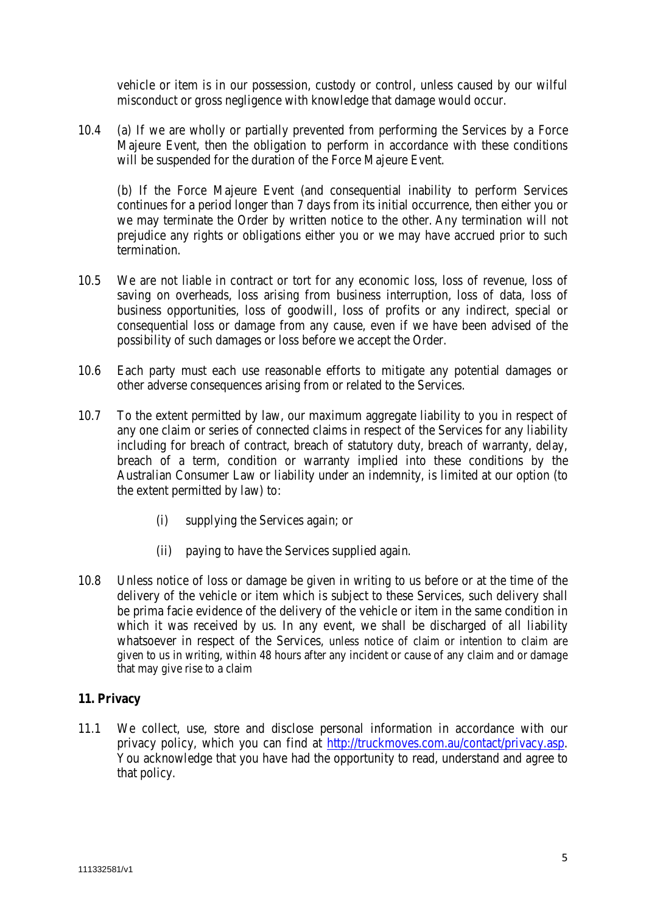vehicle or item is in our possession, custody or control, unless caused by our wilful misconduct or gross negligence with knowledge that damage would occur.

10.4 (a) If we are wholly or partially prevented from performing the Services by a Force Majeure Event, then the obligation to perform in accordance with these conditions will be suspended for the duration of the Force Majeure Event.

(b) If the Force Majeure Event (and consequential inability to perform Services continues for a period longer than 7 days from its initial occurrence, then either you or we may terminate the Order by written notice to the other. Any termination will not prejudice any rights or obligations either you or we may have accrued prior to such termination.

- 10.5 We are not liable in contract or tort for any economic loss, loss of revenue, loss of saving on overheads, loss arising from business interruption, loss of data, loss of business opportunities, loss of goodwill, loss of profits or any indirect, special or consequential loss or damage from any cause, even if we have been advised of the possibility of such damages or loss before we accept the Order.
- 10.6 Each party must each use reasonable efforts to mitigate any potential damages or other adverse consequences arising from or related to the Services.
- 10.7 To the extent permitted by law, our maximum aggregate liability to you in respect of any one claim or series of connected claims in respect of the Services for any liability including for breach of contract, breach of statutory duty, breach of warranty, delay, breach of a term, condition or warranty implied into these conditions by the Australian Consumer Law or liability under an indemnity, is limited at our option (to the extent permitted by law) to:
	- (i) supplying the Services again; or
	- (ii) paying to have the Services supplied again.
- 10.8 Unless notice of loss or damage be given in writing to us before or at the time of the delivery of the vehicle or item which is subject to these Services, such delivery shall be prima facie evidence of the delivery of the vehicle or item in the same condition in which it was received by us. In any event, we shall be discharged of all liability whatsoever in respect of the Services, unless notice of claim or intention to claim are given to us in writing, within 48 hours after any incident or cause of any claim and or damage that may give rise to a claim

## **11. Privacy**

11.1 We collect, use, store and disclose personal information in accordance with our privacy policy, which you can find at [http://truckmoves.com.au/contact/privacy.asp.](http://truckmoves.com.au/contact/privacy.asp) You acknowledge that you have had the opportunity to read, understand and agree to that policy.